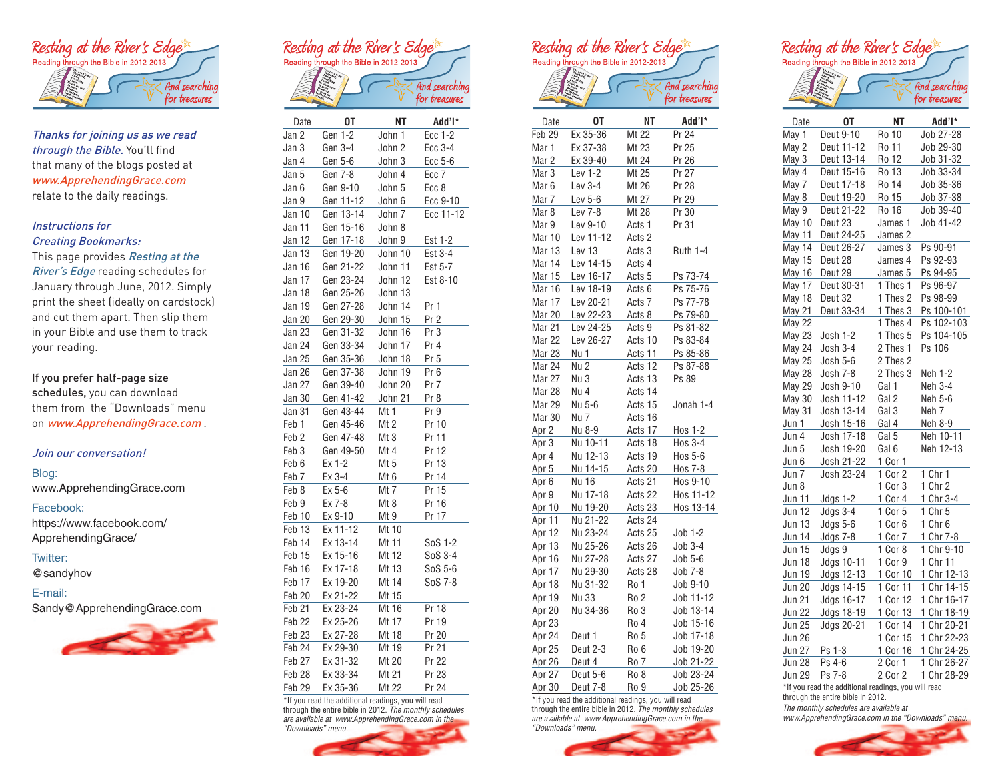

Thanks for joining us as we read through the Bible. You'll find that many of the blogs posted at www.ApprehendingGrace.com relate to the daily readings.

# Instructions for

# Creating Bookmarks:

This page provides Resting at the River's Edge reading schedules for January through June, 2012. Simply print the sheet (ideally on cardstock) and cut them apart. Then slip them in your Bible and use them to track your reading.

### If you prefer half-page size schedules, you can download

them from the "Downloads" menu on www.ApprehendingGrace.com.

#### Join our conversation!

#### Blog:

www.ApprehendingGrace.com

#### Facebook:

https://www.facebook.com/ ApprehendingGrace/

### Twitter:

@sandyhov

#### E-mail:

Sandy@ApprehendingGrace.com





| Date              | 0T        | NT      | Add'l*          |
|-------------------|-----------|---------|-----------------|
| Jan 2             | Gen 1-2   | John 1  | Ecc 1-2         |
| Jan 3             | Gen 3-4   | John 2  | Ecc 3-4         |
| Jan 4             | Gen 5-6   | John 3  | Ecc 5-6         |
| Jan 5             | Gen 7-8   | John 4  | Ecc 7           |
| Jan 6             | Gen 9-10  | John 5  | Ecc 8           |
| Jan 9             | Gen 11-12 | John 6  | Ecc 9-10        |
| Jan 10            | Gen 13-14 | John 7  | Ecc 11-12       |
| Jan 11            | Gen 15-16 | John 8  |                 |
| Jan 12            | Gen 17-18 | John 9  | Est 1-2         |
| Jan 13            | Gen 19-20 | John 10 | Est 3-4         |
| Jan 16            | Gen 21-22 | John 11 | Est 5-7         |
| Jan 17            | Gen 23-24 | John 12 | Est 8-10        |
| Jan 18            | Gen 25-26 | John 13 |                 |
| Jan 19            | Gen 27-28 | John 14 | Pr 1            |
| Jan 20            | Gen 29-30 | John 15 | Pr <sub>2</sub> |
| Jan 23            | Gen 31-32 | John 16 | Pr 3            |
| Jan 24            | Gen 33-34 | John 17 | Pr 4            |
| Jan 25            | Gen 35-36 | John 18 | Pr 5            |
| Jan 26            | Gen 37-38 | John 19 | Pr 6            |
| Jan 27            | Gen 39-40 | John 20 | Pr 7            |
| Jan 30            | Gen 41-42 | John 21 | Pr 8            |
| Jan 31            | Gen 43-44 | Mt 1    | Pr 9            |
| Feb <sub>1</sub>  | Gen 45-46 | Mt 2    | Pr 10           |
| Feb <sub>2</sub>  | Gen 47-48 | Mt 3    | Pr 11           |
| Feb 3             | Gen 49-50 | Mt 4    | Pr 12           |
| Feb 6             | Ex 1-2    | Mt 5    | Pr 13           |
| Feb 7             | Ex 3-4    | Mt 6    | Pr 14           |
| Feb 8             | Ex 5-6    | Mt 7    | Pr 15           |
| Feb 9             | Ex 7-8    | Mt 8    | Pr 16           |
| Feb 10            | Ex 9-10   | Mt 9    | Pr 17           |
| Feb 13            | Ex 11-12  | Mt 10   |                 |
| Feb 14            | Ex 13-14  | Mt 11   | SoS 1-2         |
| Feb 15            | Ex 15-16  | Mt 12   | SoS 3-4         |
| Feb 16            | Ex 17-18  | Mt 13   | SoS 5-6         |
| Feb 17            | Ex 19-20  | Mt 14   | SoS 7-8         |
| Feb 20            | Ex 21-22  | Mt 15   |                 |
| Feb 21            | Ex 23-24  | Mt 16   | Pr 18           |
| Feb 22            | Ex 25-26  | Mt 17   | Pr 19           |
| Feb 23            | Ex 27-28  | Mt 18   | Pr 20           |
| Feb 24            | Ex 29-30  | Mt 19   | Pr 21           |
| Feb 27            | Ex 31-32  | Mt 20   | Pr 22           |
| Feb <sub>28</sub> | Ex 33-34  | Mt 21   | Pr 23           |
| Feb <sub>29</sub> | Ex 35-36  | Mt 22   | Pr 24           |

\*If you read the additional readings, you will read through the entire bible in 2012. *The monthly schedules are available at www.ApprehendingGrace.com in the* 







| Add'l*<br>0T<br>NΤ<br>Mt 22<br>Pr 24<br>Ex 35-36<br>Pr 25<br>Ex 37-38<br>Mt 23<br>Ex 39-40<br>Mt 24<br>Pr 26<br>Lev 1-2<br>Mt 25<br>Pr 27<br>Lev 3-4<br>Mt 26<br>Pr 28<br>Lev 5-6<br>Mt 27<br>Pr 29<br>Mt 28<br>Pr 30<br>Lev 7-8<br>Lev 9-10<br>Pr 31<br>Acts 1<br>Lev 11-12<br>Acts 2<br>Mar 13<br>Lev 13<br>Ruth 1-4<br>Acts 3<br>Lev 14-15<br>Acts 4<br>Lev 16-17<br>Ps 73-74<br>Acts 5<br>Ps 75-76<br>Lev 18-19<br>Acts 6<br>Lev 20-21<br>Acts 7<br>Ps 77-78<br>Lev 22-23<br>Acts 8<br>Ps 79-80<br>Lev 24-25<br>Acts 9<br>Ps 81-82<br>Lev 26-27<br>Acts 10<br>Ps 83-84<br>Nu 1<br>Acts 11<br>Ps 85-86<br>Mar 24<br>Nu 2<br>Acts 12<br>Ps 87-88<br>Mar 27<br>Nu 3<br>Acts 13<br>Ps 89<br>Nu 4<br>Acts 14<br>Jonah 1-4<br>Nu 5-6<br>Acts 15<br>Acts 16<br>Nu 7<br>Nu 8-9<br>Acts 17<br>Hos 1-2<br>Nu 10-11<br>Hos 3-4<br>Acts 18<br>Nu 12-13<br>Hos 5-6<br>Acts 19<br>Nu 14-15<br>Acts 20<br>Hos 7-8<br>Nu 16<br>Acts 21<br>Hos 9-10<br>Nu 17-18<br>Acts 22<br>Hos 11-12<br>Nu 19-20<br>Acts 23<br>Nu 21-22<br>Acts 24<br>Nu 23-24<br>Acts 25<br>Job 1-2<br>Nu 25-26<br>Acts 26<br>Job 3-4<br>Nu 27-28<br>Acts 27<br>Job 5-6<br>Nu 29-30<br>Acts 28<br>Job 7-8<br>Job 9-10<br>Nu 31-32<br>Ro 1<br>Nu 33<br>Ro 2<br>Job 11-12<br>Job 13-14<br>Nu 34-36<br>Ro 3<br>Job 15-16<br>Ro 4<br>Apr 24<br>Deut 1<br>Ro 5<br>Job 17-18<br>Deut 2-3<br>Ro <sub>6</sub><br>Job 19-20<br>Ro 7<br>Job 21-22<br>Apr 26<br>Deut 4<br>Job 23-24<br>Deut 5-6<br>Ro 8<br>Deut 7-8<br>Ro 9<br>Job 25-26 |                  |  |           |
|--------------------------------------------------------------------------------------------------------------------------------------------------------------------------------------------------------------------------------------------------------------------------------------------------------------------------------------------------------------------------------------------------------------------------------------------------------------------------------------------------------------------------------------------------------------------------------------------------------------------------------------------------------------------------------------------------------------------------------------------------------------------------------------------------------------------------------------------------------------------------------------------------------------------------------------------------------------------------------------------------------------------------------------------------------------------------------------------------------------------------------------------------------------------------------------------------------------------------------------------------------------------------------------------------------------------------------------------------------------------------------------------------------------------------------------------------------------------------------------|------------------|--|-----------|
|                                                                                                                                                                                                                                                                                                                                                                                                                                                                                                                                                                                                                                                                                                                                                                                                                                                                                                                                                                                                                                                                                                                                                                                                                                                                                                                                                                                                                                                                                      | Date             |  |           |
|                                                                                                                                                                                                                                                                                                                                                                                                                                                                                                                                                                                                                                                                                                                                                                                                                                                                                                                                                                                                                                                                                                                                                                                                                                                                                                                                                                                                                                                                                      | Feb 29           |  |           |
|                                                                                                                                                                                                                                                                                                                                                                                                                                                                                                                                                                                                                                                                                                                                                                                                                                                                                                                                                                                                                                                                                                                                                                                                                                                                                                                                                                                                                                                                                      | Mar 1            |  |           |
|                                                                                                                                                                                                                                                                                                                                                                                                                                                                                                                                                                                                                                                                                                                                                                                                                                                                                                                                                                                                                                                                                                                                                                                                                                                                                                                                                                                                                                                                                      | Mar 2            |  |           |
|                                                                                                                                                                                                                                                                                                                                                                                                                                                                                                                                                                                                                                                                                                                                                                                                                                                                                                                                                                                                                                                                                                                                                                                                                                                                                                                                                                                                                                                                                      | Mar 3            |  |           |
|                                                                                                                                                                                                                                                                                                                                                                                                                                                                                                                                                                                                                                                                                                                                                                                                                                                                                                                                                                                                                                                                                                                                                                                                                                                                                                                                                                                                                                                                                      | Mar <sub>6</sub> |  |           |
|                                                                                                                                                                                                                                                                                                                                                                                                                                                                                                                                                                                                                                                                                                                                                                                                                                                                                                                                                                                                                                                                                                                                                                                                                                                                                                                                                                                                                                                                                      | Mar 7            |  |           |
|                                                                                                                                                                                                                                                                                                                                                                                                                                                                                                                                                                                                                                                                                                                                                                                                                                                                                                                                                                                                                                                                                                                                                                                                                                                                                                                                                                                                                                                                                      | Mar 8            |  |           |
|                                                                                                                                                                                                                                                                                                                                                                                                                                                                                                                                                                                                                                                                                                                                                                                                                                                                                                                                                                                                                                                                                                                                                                                                                                                                                                                                                                                                                                                                                      | Mar 9            |  |           |
|                                                                                                                                                                                                                                                                                                                                                                                                                                                                                                                                                                                                                                                                                                                                                                                                                                                                                                                                                                                                                                                                                                                                                                                                                                                                                                                                                                                                                                                                                      | Mar 10           |  |           |
|                                                                                                                                                                                                                                                                                                                                                                                                                                                                                                                                                                                                                                                                                                                                                                                                                                                                                                                                                                                                                                                                                                                                                                                                                                                                                                                                                                                                                                                                                      |                  |  |           |
|                                                                                                                                                                                                                                                                                                                                                                                                                                                                                                                                                                                                                                                                                                                                                                                                                                                                                                                                                                                                                                                                                                                                                                                                                                                                                                                                                                                                                                                                                      | Mar 14           |  |           |
|                                                                                                                                                                                                                                                                                                                                                                                                                                                                                                                                                                                                                                                                                                                                                                                                                                                                                                                                                                                                                                                                                                                                                                                                                                                                                                                                                                                                                                                                                      | <b>Mar 15</b>    |  |           |
|                                                                                                                                                                                                                                                                                                                                                                                                                                                                                                                                                                                                                                                                                                                                                                                                                                                                                                                                                                                                                                                                                                                                                                                                                                                                                                                                                                                                                                                                                      | Mar 16           |  |           |
|                                                                                                                                                                                                                                                                                                                                                                                                                                                                                                                                                                                                                                                                                                                                                                                                                                                                                                                                                                                                                                                                                                                                                                                                                                                                                                                                                                                                                                                                                      | Mar 17           |  |           |
|                                                                                                                                                                                                                                                                                                                                                                                                                                                                                                                                                                                                                                                                                                                                                                                                                                                                                                                                                                                                                                                                                                                                                                                                                                                                                                                                                                                                                                                                                      | Mar 20           |  |           |
|                                                                                                                                                                                                                                                                                                                                                                                                                                                                                                                                                                                                                                                                                                                                                                                                                                                                                                                                                                                                                                                                                                                                                                                                                                                                                                                                                                                                                                                                                      | Mar 21           |  |           |
|                                                                                                                                                                                                                                                                                                                                                                                                                                                                                                                                                                                                                                                                                                                                                                                                                                                                                                                                                                                                                                                                                                                                                                                                                                                                                                                                                                                                                                                                                      | Mar 22           |  |           |
|                                                                                                                                                                                                                                                                                                                                                                                                                                                                                                                                                                                                                                                                                                                                                                                                                                                                                                                                                                                                                                                                                                                                                                                                                                                                                                                                                                                                                                                                                      | Mar 23           |  |           |
|                                                                                                                                                                                                                                                                                                                                                                                                                                                                                                                                                                                                                                                                                                                                                                                                                                                                                                                                                                                                                                                                                                                                                                                                                                                                                                                                                                                                                                                                                      |                  |  |           |
|                                                                                                                                                                                                                                                                                                                                                                                                                                                                                                                                                                                                                                                                                                                                                                                                                                                                                                                                                                                                                                                                                                                                                                                                                                                                                                                                                                                                                                                                                      |                  |  |           |
|                                                                                                                                                                                                                                                                                                                                                                                                                                                                                                                                                                                                                                                                                                                                                                                                                                                                                                                                                                                                                                                                                                                                                                                                                                                                                                                                                                                                                                                                                      | Mar 28           |  |           |
|                                                                                                                                                                                                                                                                                                                                                                                                                                                                                                                                                                                                                                                                                                                                                                                                                                                                                                                                                                                                                                                                                                                                                                                                                                                                                                                                                                                                                                                                                      | Mar 29           |  |           |
|                                                                                                                                                                                                                                                                                                                                                                                                                                                                                                                                                                                                                                                                                                                                                                                                                                                                                                                                                                                                                                                                                                                                                                                                                                                                                                                                                                                                                                                                                      | Mar 30           |  |           |
|                                                                                                                                                                                                                                                                                                                                                                                                                                                                                                                                                                                                                                                                                                                                                                                                                                                                                                                                                                                                                                                                                                                                                                                                                                                                                                                                                                                                                                                                                      | Apr 2            |  |           |
|                                                                                                                                                                                                                                                                                                                                                                                                                                                                                                                                                                                                                                                                                                                                                                                                                                                                                                                                                                                                                                                                                                                                                                                                                                                                                                                                                                                                                                                                                      | Apr 3            |  |           |
|                                                                                                                                                                                                                                                                                                                                                                                                                                                                                                                                                                                                                                                                                                                                                                                                                                                                                                                                                                                                                                                                                                                                                                                                                                                                                                                                                                                                                                                                                      | Apr 4            |  |           |
|                                                                                                                                                                                                                                                                                                                                                                                                                                                                                                                                                                                                                                                                                                                                                                                                                                                                                                                                                                                                                                                                                                                                                                                                                                                                                                                                                                                                                                                                                      | Apr 5            |  |           |
|                                                                                                                                                                                                                                                                                                                                                                                                                                                                                                                                                                                                                                                                                                                                                                                                                                                                                                                                                                                                                                                                                                                                                                                                                                                                                                                                                                                                                                                                                      | Apr 6            |  |           |
|                                                                                                                                                                                                                                                                                                                                                                                                                                                                                                                                                                                                                                                                                                                                                                                                                                                                                                                                                                                                                                                                                                                                                                                                                                                                                                                                                                                                                                                                                      | Apr 9            |  |           |
|                                                                                                                                                                                                                                                                                                                                                                                                                                                                                                                                                                                                                                                                                                                                                                                                                                                                                                                                                                                                                                                                                                                                                                                                                                                                                                                                                                                                                                                                                      | Apr 10           |  | Hos 13-14 |
|                                                                                                                                                                                                                                                                                                                                                                                                                                                                                                                                                                                                                                                                                                                                                                                                                                                                                                                                                                                                                                                                                                                                                                                                                                                                                                                                                                                                                                                                                      | Apr 11           |  |           |
|                                                                                                                                                                                                                                                                                                                                                                                                                                                                                                                                                                                                                                                                                                                                                                                                                                                                                                                                                                                                                                                                                                                                                                                                                                                                                                                                                                                                                                                                                      | Apr 12           |  |           |
|                                                                                                                                                                                                                                                                                                                                                                                                                                                                                                                                                                                                                                                                                                                                                                                                                                                                                                                                                                                                                                                                                                                                                                                                                                                                                                                                                                                                                                                                                      | Apr 13           |  |           |
|                                                                                                                                                                                                                                                                                                                                                                                                                                                                                                                                                                                                                                                                                                                                                                                                                                                                                                                                                                                                                                                                                                                                                                                                                                                                                                                                                                                                                                                                                      | Apr 16           |  |           |
|                                                                                                                                                                                                                                                                                                                                                                                                                                                                                                                                                                                                                                                                                                                                                                                                                                                                                                                                                                                                                                                                                                                                                                                                                                                                                                                                                                                                                                                                                      | Apr 17           |  |           |
|                                                                                                                                                                                                                                                                                                                                                                                                                                                                                                                                                                                                                                                                                                                                                                                                                                                                                                                                                                                                                                                                                                                                                                                                                                                                                                                                                                                                                                                                                      | Apr 18           |  |           |
|                                                                                                                                                                                                                                                                                                                                                                                                                                                                                                                                                                                                                                                                                                                                                                                                                                                                                                                                                                                                                                                                                                                                                                                                                                                                                                                                                                                                                                                                                      | Apr 19           |  |           |
|                                                                                                                                                                                                                                                                                                                                                                                                                                                                                                                                                                                                                                                                                                                                                                                                                                                                                                                                                                                                                                                                                                                                                                                                                                                                                                                                                                                                                                                                                      | Apr 20           |  |           |
|                                                                                                                                                                                                                                                                                                                                                                                                                                                                                                                                                                                                                                                                                                                                                                                                                                                                                                                                                                                                                                                                                                                                                                                                                                                                                                                                                                                                                                                                                      | Apr 23           |  |           |
|                                                                                                                                                                                                                                                                                                                                                                                                                                                                                                                                                                                                                                                                                                                                                                                                                                                                                                                                                                                                                                                                                                                                                                                                                                                                                                                                                                                                                                                                                      |                  |  |           |
|                                                                                                                                                                                                                                                                                                                                                                                                                                                                                                                                                                                                                                                                                                                                                                                                                                                                                                                                                                                                                                                                                                                                                                                                                                                                                                                                                                                                                                                                                      | Apr 25           |  |           |
|                                                                                                                                                                                                                                                                                                                                                                                                                                                                                                                                                                                                                                                                                                                                                                                                                                                                                                                                                                                                                                                                                                                                                                                                                                                                                                                                                                                                                                                                                      |                  |  |           |
|                                                                                                                                                                                                                                                                                                                                                                                                                                                                                                                                                                                                                                                                                                                                                                                                                                                                                                                                                                                                                                                                                                                                                                                                                                                                                                                                                                                                                                                                                      | Apr 27           |  |           |
|                                                                                                                                                                                                                                                                                                                                                                                                                                                                                                                                                                                                                                                                                                                                                                                                                                                                                                                                                                                                                                                                                                                                                                                                                                                                                                                                                                                                                                                                                      | Apr 30           |  |           |

\*If you read the additional readings, you will read through the entire bible in 2012. *The monthly schedules are available at www.ApprehendingGrace.com in the "Downloads" menu.*





| Date          | OΤ         | NΤ           | Add'l*      |
|---------------|------------|--------------|-------------|
| May 1         | Deut 9-10  | Ro 10        | Job 27-28   |
| May 2         | Deut 11-12 | Ro 11        | Job 29-30   |
| May 3         | Deut 13-14 | <b>Ro 12</b> | Job 31-32   |
| May 4         | Deut 15-16 | Ro 13        | Job 33-34   |
| May 7         | Deut 17-18 | Ro 14        | Job 35-36   |
| May 8         | Deut 19-20 | <b>Ro 15</b> | Job 37-38   |
| May 9         | Deut 21-22 | Ro 16        | Job 39-40   |
| May 10        | Deut 23    | James 1      | Job 41-42   |
| May 11        | Deut 24-25 | James 2      |             |
| May 14        | Deut 26-27 | James 3      | Ps 90-91    |
| May 15        | Deut 28    | James 4      | Ps 92-93    |
| May 16        | Deut 29    | James 5      | Ps 94-95    |
| May 17        | Deut 30-31 | 1 Thes 1     | Ps 96-97    |
| May 18        | Deut 32    | 1 Thes 2     | Ps 98-99    |
| May 21        | Deut 33-34 | 1 Thes 3     | Ps 100-101  |
| May 22        |            | Thes 4<br>1  | Ps 102-103  |
| <b>May 23</b> | Josh 1-2   | 1 Thes 5     | Ps 104-105  |
| May 24        | Josh 3-4   | 2 Thes 1     | Ps 106      |
| May 25        | Josh 5-6   | 2 Thes 2     |             |
| May 28        | Josh 7-8   | 2 Thes 3     | Neh 1-2     |
| <b>May 29</b> | Josh 9-10  | Gal 1        | Neh 3-4     |
| May 30        | Josh 11-12 | Gal 2        | Neh 5-6     |
| May 31        | Josh 13-14 | Gal 3        | Neh 7       |
| Jun 1         | Josh 15-16 | Gal 4        | Neh 8-9     |
| Jun 4         | Josh 17-18 | Gal 5        | Neh 10-11   |
| Jun 5         | Josh 19-20 | Gal 6        | Neh 12-13   |
| Jun 6         | Josh 21-22 | 1 Cor 1      |             |
| Jun 7         | Josh 23-24 | 1 Cor 2      | 1 Chr 1     |
| Jun 8         |            | 1 Cor 3      | 1 Chr 2     |
| Jun 11        | Jdgs 1-2   | 1 Cor 4      | 1 Chr 3-4   |
| <b>Jun 12</b> | Jdgs 3-4   | 1 Cor 5      | 1 Chr 5     |
| Jun 13        | Jdgs 5-6   | 1 Cor 6      | 1 Chr 6     |
| <b>Jun 14</b> | Jdgs 7-8   | 1 Cor 7      | 1 Chr 7-8   |
| Jun 15        | Jdgs 9     | 1 Cor 8      | 1 Chr 9-10  |
| Jun 18        | Jdgs 10-11 | 1 Cor 9      | 1 Chr 11    |
| Jun 19        | Jdgs 12-13 | 1 Cor 10     | 1 Chr 12-13 |
| <b>Jun 20</b> | Jdgs 14-15 | 1 Cor 11     | 1 Chr 14-15 |
| <b>Jun 21</b> | Jdgs 16-17 | 1 Cor 12     | 1 Chr 16-17 |
| Jun 22        | Jdgs 18-19 | 1 Cor 13     | 1 Chr 18-19 |
| Jun 25        | Jdgs 20-21 | 1 Cor 14     | 1 Chr 20-21 |
| Jun 26        |            | 1 Cor 15     | 1 Chr 22-23 |
| <b>Jun 27</b> | Ps 1-3     | 1 Cor 16     | 1 Chr 24-25 |
| Jun 28        | Ps 4-6     | 2 Cor 1      | 1 Chr 26-27 |
| <b>Jun 29</b> | Ps 7-8     | 2 Cor 2      | 1 Chr 28-29 |
|               |            |              |             |

\*If you read the additional readings, you will read through the entire bible in 2012. *The monthly schedules are available at www.ApprehendingGrace.com in the "Downloads" menu.*